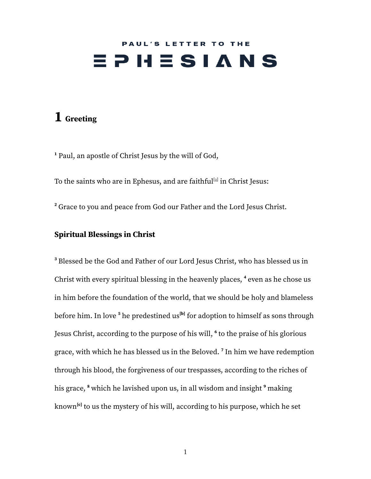# PAUL'S LETTER TO THE  $E$   $P$   $H$   $E$   $S$   $I$   $A$   $N$   $S$

## **1 Greeting**

**<sup>1</sup>** Paul, an apostle of Christ Jesus by the will of God,

To the s[a](https://www.biblegateway.com/passage/?search=ephesians+1&version=ESV#fen-ESV-29191a)ints who are in Ephesus, and are faithful $^{\rm [a]}$  in Christ Jesus:

**<sup>2</sup>** Grace to you and peace from God our Father and the Lord Jesus Christ.

#### **Spiritual Blessings in Christ**

**<sup>3</sup>** Blessed be the God and Father of our Lord Jesus Christ, who has blessed us in Christ with every spiritual blessing in the heavenly places, **<sup>4</sup>** even as he chose us in him before the foundation of the world, that we should be holy and blameless before him. In love **<sup>5</sup>** he predestined us **[\[b](https://www.biblegateway.com/passage/?search=ephesians+1&version=ESV#fen-ESV-29195b)]** for adoption to himself as sons through Jesus Christ, according to the purpose of his will, **6** to the praise of his glorious grace, with which he has blessed us in the Beloved. **7** In him we have redemption through his blood, the forgiveness of our trespasses, according to the riches of his grace, **<sup>8</sup>** which he lavished upon us, in all wisdom and insight **<sup>9</sup>** making known<sup>[\[c](https://www.biblegateway.com/passage/?search=ephesians+1&version=ESV#fen-ESV-29199c)]</sup> to us the mystery of his will, according to his purpose, which he set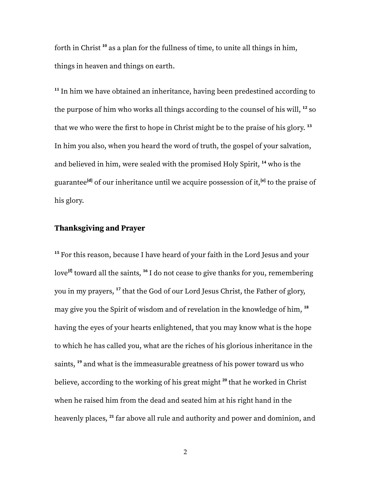forth in Christ **<sup>10</sup>** as a plan for the fullness of time, to unite all things in him, things in heaven and things on earth.

**11** In him we have obtained an inheritance, having been predestined according to the purpose of him who works all things according to the counsel of his will, **<sup>12</sup>** so that we who were the first to hope in Christ might be to the praise of his glory. **13** In him you also, when you heard the word of truth, the gospel of your salvation, and believed in him, were sealed with the promised Holy Spirit, **<sup>14</sup>** who is the guarantee **[\[d\]](https://www.biblegateway.com/passage/?search=ephesians+1&version=ESV#fen-ESV-29204d)** of our inheritance until we acquire possession of it, **[[e](https://www.biblegateway.com/passage/?search=ephesians+1&version=ESV#fen-ESV-29204e)]** to the praise of his glory.

#### **Thanksgiving and Prayer**

**<sup>15</sup>** For this reason, because I have heard of your faith in the Lord Jesus and your love<sup>[[f](https://www.biblegateway.com/passage/?search=ephesians+1&version=ESV#fen-ESV-29205f)]</sup> toward all the saints, <sup>16</sup> I do not cease to give thanks for you, remembering you in my prayers, **17** that the God of our Lord Jesus Christ, the Father of glory, may give you the Spirit of wisdom and of revelation in the knowledge of him, **18** having the eyes of your hearts enlightened, that you may know what is the hope to which he has called you, what are the riches of his glorious inheritance in the saints, **<sup>19</sup>** and what is the immeasurable greatness of his power toward us who believe, according to the working of his great might **20** that he worked in Christ when he raised him from the dead and seated him at his right hand in the heavenly places, **21** far above all rule and authority and power and dominion, and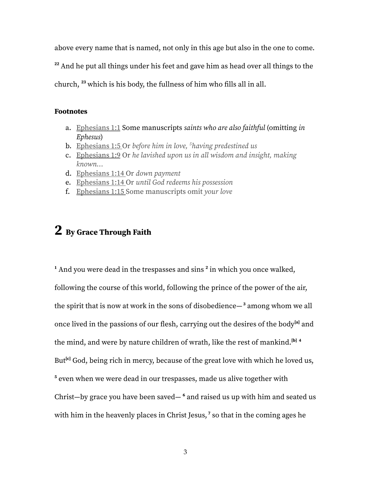above every name that is named, not only in this age but also in the one to come.

**<sup>22</sup>** And he put all things under his feet and gave him as head over all things to the

church, **<sup>23</sup>** which is his body, the fullness of him who fills all in all.

#### **Footnotes**

- a. [Ephesians](https://www.biblegateway.com/passage/?search=ephesians+1&version=ESV#en-ESV-29191) 1:1 Some manuscripts *saints who are also faithful* (omitting *in Ephesus*)
- b. [Ephesians](https://www.biblegateway.com/passage/?search=ephesians+1&version=ESV#en-ESV-29195) 1:5 Or *before him in love, <sup>5</sup>having predestined us*
- c. [Ephesians](https://www.biblegateway.com/passage/?search=ephesians+1&version=ESV#en-ESV-29199) 1:9 Or *he lavished upon us in all wisdom and insight, making known…*
- d. [Ephesians](https://www.biblegateway.com/passage/?search=ephesians+1&version=ESV#en-ESV-29204) 1:14 Or *down payment*
- e. [Ephesians](https://www.biblegateway.com/passage/?search=ephesians+1&version=ESV#en-ESV-29204) 1:14 Or *until God redeems his possession*
- f. [Ephesians](https://www.biblegateway.com/passage/?search=ephesians+1&version=ESV#en-ESV-29205) 1:15 Some manuscripts omit *your love*

## **2 By Grace Through Faith**

<sup>1</sup> And you were dead in the trespasses and sins<sup>2</sup> in which you once walked, following the course of this world, following the prince of the power of the air, the spirit that is now at work in the sons of disobedience— **<sup>3</sup>** among whom we all once lived in the passions of our flesh, carrying out the desires of the body **[\[a\]](https://www.biblegateway.com/passage/?search=EPHESIANS+2&version=ESV#fen-ESV-29216a)** and the mind, and were by nature children of wrath, like the rest of mankind. **[[b\]](https://www.biblegateway.com/passage/?search=EPHESIANS+2&version=ESV#fen-ESV-29216b) 4** But<sup>[[c\]](https://www.biblegateway.com/passage/?search=EPHESIANS+2&version=ESV#fen-ESV-29217c)</sup> God, being rich in mercy, because of the great love with which he loved us, **<sup>5</sup>** even when we were dead in our trespasses, made us alive together with Christ—by grace you have been saved— **<sup>6</sup>** and raised us up with him and seated us with him in the heavenly places in Christ Jesus, **<sup>7</sup>** so that in the coming ages he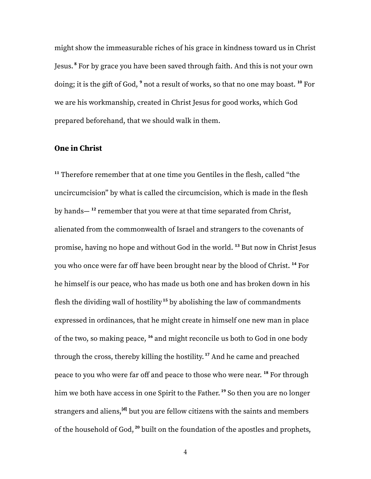might show the immeasurable riches of his grace in kindness toward us in Christ Jesus. **<sup>8</sup>** For by grace you have been saved through faith. And this is not your own doing; it is the gift of God,  $9$  not a result of works, so that no one may boast.  $^{10}$  For we are his workmanship, created in Christ Jesus for good works, which God prepared beforehand, that we should walk in them.

#### **One in Christ**

**<sup>11</sup>** Therefore remember that at one time you Gentiles in the flesh, called "the uncircumcision" by what is called the circumcision, which is made in the flesh by hands— **<sup>12</sup>** remember that you were at that time separated from Christ, alienated from the commonwealth of Israel and strangers to the covenants of promise, having no hope and without God in the world. **<sup>13</sup>** But now in Christ Jesus you who once were far off have been brought near by the blood of Christ. **<sup>14</sup>** For he himself is our peace, who has made us both one and has broken down in his flesh the dividing wall of hostility **<sup>15</sup>** by abolishing the law of commandments expressed in ordinances, that he might create in himself one new man in place of the two, so making peace, **<sup>16</sup>** and might reconcile us both to God in one body through the cross, thereby killing the hostility. **<sup>17</sup>** And he came and preached peace to you who were far off and peace to those who were near. **<sup>18</sup>** For through him we both have access in one Spirit to the Father. **<sup>19</sup>** So then you are no longer strangers and aliens, **[\[d\]](https://www.biblegateway.com/passage/?search=EPHESIANS+2&version=ESV#fen-ESV-29232d)** but you are fellow citizens with the saints and members of the household of God, **<sup>20</sup>** built on the foundation of the apostles and prophets,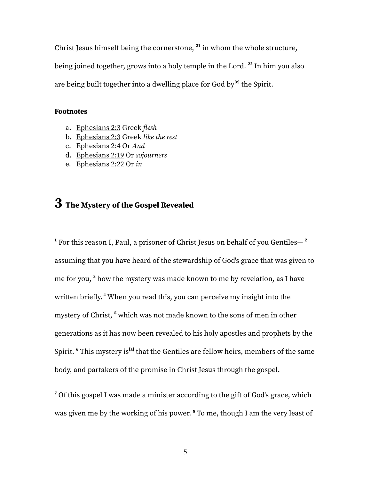Christ Jesus himself being the cornerstone, **21** in whom the whole structure, being joined together, grows into a holy temple in the Lord. **22** In him you also are being built together into a dwelling place for God by **[\[e](https://www.biblegateway.com/passage/?search=EPHESIANS+2&version=ESV#fen-ESV-29235e)]** the Spirit.

#### **Footnotes**

- a. [Ephesians](https://www.biblegateway.com/passage/?search=EPHESIANS+2&version=ESV#en-ESV-29216) 2:3 Greek *flesh*
- b. [Ephesians](https://www.biblegateway.com/passage/?search=EPHESIANS+2&version=ESV#en-ESV-29216) 2:3 Greek *like the rest*
- c. [Ephesians](https://www.biblegateway.com/passage/?search=EPHESIANS+2&version=ESV#en-ESV-29217) 2:4 Or *And*
- d. [Ephesians](https://www.biblegateway.com/passage/?search=EPHESIANS+2&version=ESV#en-ESV-29232) 2:19 Or *sojourners*
- e. [Ephesians](https://www.biblegateway.com/passage/?search=EPHESIANS+2&version=ESV#en-ESV-29235) 2:22 Or *in*

## **3 The Mystery of the Gospel Revealed**

**<sup>1</sup>** For this reason I, Paul, a prisoner of Christ Jesus on behalf of you Gentiles— **2** assuming that you have heard of the stewardship of God's grace that was given to me for you, **<sup>3</sup>** how the mystery was made known to me by revelation, as I have written briefly. **<sup>4</sup>** When you read this, you can perceive my insight into the mystery of Christ, **<sup>5</sup>** which was not made known to the sons of men in other generations as it has now been revealed to his holy apostles and prophets by the Spirit.  $\rm^6$  This mystery is<sup>[\[a](https://www.biblegateway.com/passage/?search=Ephesians%203&version=ESV#fen-ESV-29241a)]</sup> that the Gentiles are fellow heirs, members of the same body, and partakers of the promise in Christ Jesus through the gospel.

<sup>7</sup> Of this gospel I was made a minister according to the gift of God's grace, which was given me by the working of his power. **<sup>8</sup>** To me, though I am the very least of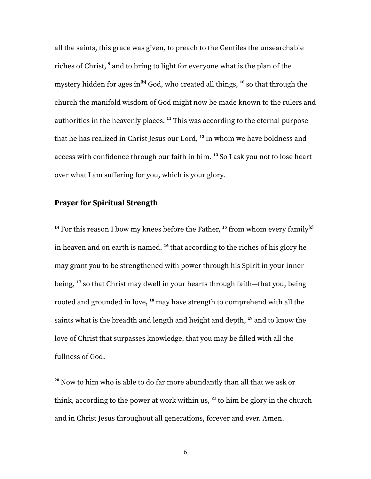all the saints, this grace was given, to preach to the Gentiles the unsearchable riches of Christ, **<sup>9</sup>** and to bring to light for everyone what is the plan of the mystery hidden for ages in **[[b\]](https://www.biblegateway.com/passage/?search=Ephesians%203&version=ESV#fen-ESV-29244b)** God, who created all things, **<sup>10</sup>** so that through the church the manifold wisdom of God might now be made known to the rulers and authorities in the heavenly places. **<sup>11</sup>** This was according to the eternal purpose that he has realized in Christ Jesus our Lord, **12** in whom we have boldness and access with confidence through our faith in him. **<sup>13</sup>** So I ask you not to lose heart over what I am suffering for you, which is your glory.

#### **Prayer for Spiritual Strength**

**<sup>14</sup>** For this reason I bow my knees before the Father, **15** from whom every family **[[c](https://www.biblegateway.com/passage/?search=Ephesians%203&version=ESV#fen-ESV-29250c)]** in heaven and on earth is named, **16** that according to the riches of his glory he may grant you to be strengthened with power through his Spirit in your inner being, **<sup>17</sup>** so that Christ may dwell in your hearts through faith—that you, being rooted and grounded in love, **<sup>18</sup>** may have strength to comprehend with all the saints what is the breadth and length and height and depth, **<sup>19</sup>** and to know the love of Christ that surpasses knowledge, that you may be filled with all the fullness of God.

**<sup>20</sup>** Now to him who is able to do far more abundantly than all that we ask or think, according to the power at work within us, **21** to him be glory in the church and in Christ Jesus throughout all generations, forever and ever. Amen.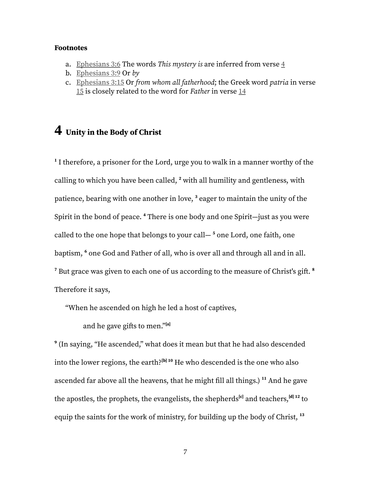#### **Footnotes**

- a. [Ephesians](https://www.biblegateway.com/passage/?search=Ephesians%203&version=ESV#en-ESV-29241) 3:6 The words *This mystery is* are inferred from verse [4](https://www.biblegateway.com/passage/?search=Eph.3.4&version=ESV)
- b. [Ephesians](https://www.biblegateway.com/passage/?search=Ephesians%203&version=ESV#en-ESV-29244) 3:9 Or *by*
- c. [Ephesians](https://www.biblegateway.com/passage/?search=Ephesians%203&version=ESV#en-ESV-29250) 3:15 Or *from whom all fatherhood*; the Greek word *patria* in verse [15](https://www.biblegateway.com/passage/?search=Eph.3.15&version=ESV) is closely related to the word for *Father* in verse [14](https://www.biblegateway.com/passage/?search=Eph.3.14&version=ESV)

### **4 Unity in the Body of Christ**

**1** I therefore, a prisoner for the Lord, urge you to walk in a manner worthy of the calling to which you have been called, **<sup>2</sup>** with all humility and gentleness, with patience, bearing with one another in love, **<sup>3</sup>** eager to maintain the unity of the Spirit in the bond of peace. **<sup>4</sup>** There is one body and one Spirit—just as you were called to the one hope that belongs to your call— **<sup>5</sup>** one Lord, one faith, one baptism, **<sup>6</sup>** one God and Father of all, who is over all and through all and in all.  $^7$  But grace was given to each one of us according to the measure of Christ's gift.  $^8$ Therefore it says,

"When he ascended on high he led a host of captives,

and he gave gifts to men."<sup>[a]</sup>

**9** (In saying, "He ascended," what does it mean but that he had also descended into the lower regions, the earth? **[b] <sup>10</sup>** He who descended is the one who also ascended far above all the heavens, that he might fill all things.) **<sup>11</sup>** And he gave the apostles, the prophets, the evangelists, the shepherds<sup>[c]</sup> and teachers,<sup>[d] 12</sup> to equip the saints for the work of ministry, for building up the body of Christ, **13**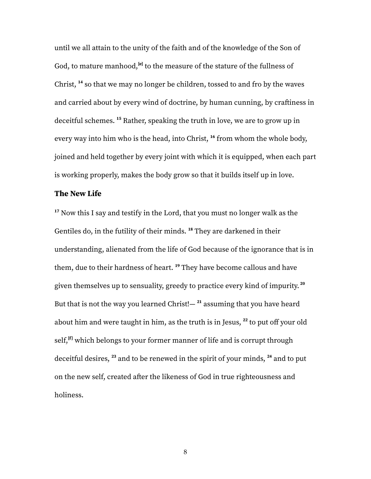until we all attain to the unity of the faith and of the knowledge of the Son of God, to mature manhood,<sup>[e]</sup> to the measure of the stature of the fullness of Christ, **<sup>14</sup>** so that we may no longer be children, tossed to and fro by the waves and carried about by every wind of doctrine, by human cunning, by craftiness in deceitful schemes. **<sup>15</sup>** Rather, speaking the truth in love, we are to grow up in every way into him who is the head, into Christ, **16** from whom the whole body, joined and held together by every joint with which it is equipped, when each part is working properly, makes the body grow so that it builds itself up in love.

#### **The New Life**

**<sup>17</sup>** Now this I say and testify in the Lord, that you must no longer walk as the Gentiles do, in the futility of their minds. **<sup>18</sup>** They are darkened in their understanding, alienated from the life of God because of the ignorance that is in them, due to their hardness of heart. **<sup>19</sup>** They have become callous and have given themselves up to sensuality, greedy to practice every kind of impurity. **20** But that is not the way you learned Christ!— **<sup>21</sup>** assuming that you have heard about him and were taught in him, as the truth is in Jesus, **22** to put off your old self, **[f]** which belongs to your former manner of life and is corrupt through deceitful desires, **<sup>23</sup>** and to be renewed in the spirit of your minds, **<sup>24</sup>** and to put on the new self, created after the likeness of God in true righteousness and holiness.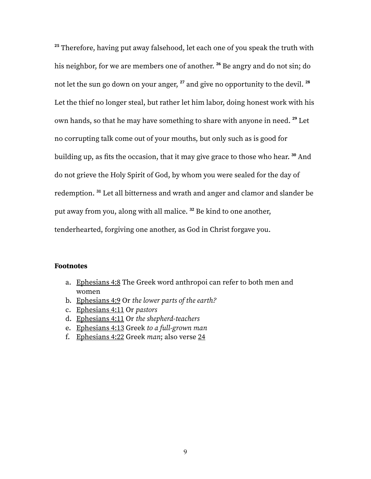**<sup>25</sup>** Therefore, having put away falsehood, let each one of you speak the truth with his neighbor, for we are members one of another. **<sup>26</sup>** Be angry and do not sin; do not let the sun go down on your anger, **<sup>27</sup>** and give no opportunity to the devil. **28** Let the thief no longer steal, but rather let him labor, doing honest work with his own hands, so that he may have something to share with anyone in need. **<sup>29</sup>** Let no corrupting talk come out of your mouths, but only such as is good for building up, as fits the occasion, that it may give grace to those who hear. **<sup>30</sup>** And do not grieve the Holy Spirit of God, by whom you were sealed for the day of redemption. **<sup>31</sup>** Let all bitterness and wrath and anger and clamor and slander be put away from you, along with all malice. **<sup>32</sup>** Be kind to one another, tenderhearted, forgiving one another, as God in Christ forgave you.

#### **Footnotes**

- a. Ephesians 4:8 The Greek word anthropoi can refer to both men and women
- b. Ephesians 4:9 Or *the lower parts of the earth?*
- c. Ephesians 4:11 Or *pastors*
- d. Ephesians 4:11 Or *the shepherd-teachers*
- e. Ephesians 4:13 Greek *to a full-grown man*
- f. Ephesians 4:22 Greek *man*; also verse 24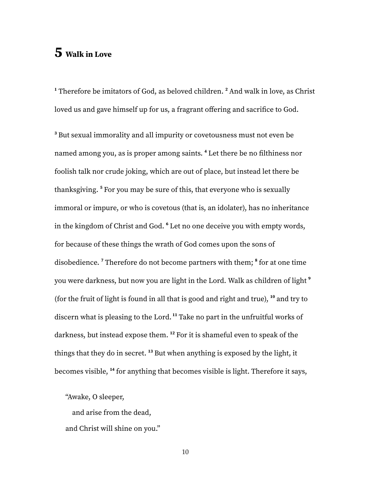## **5 Walk in Love**

**<sup>1</sup>** Therefore be imitators of God, as beloved children. **<sup>2</sup>** And walk in love, as Christ loved us and gave himself up for us, a fragrant offering and sacrifice to God.

**<sup>3</sup>** But sexual immorality and all impurity or covetousness must not even be named among you, as is proper among saints. **<sup>4</sup>** Let there be no filthiness nor foolish talk nor crude joking, which are out of place, but instead let there be thanksgiving. **<sup>5</sup>** For you may be sure of this, that everyone who is sexually immoral or impure, or who is covetous (that is, an idolater), has no inheritance in the kingdom of Christ and God. **<sup>6</sup>** Let no one deceive you with empty words, for because of these things the wrath of God comes upon the sons of disobedience. **<sup>7</sup>** Therefore do not become partners with them; **<sup>8</sup>** for at one time you were darkness, but now you are light in the Lord. Walk as children of light **9** (for the fruit of light is found in all that is good and right and true), **<sup>10</sup>** and try to discern what is pleasing to the Lord. **<sup>11</sup>** Take no part in the unfruitful works of darkness, but instead expose them. **<sup>12</sup>** For it is shameful even to speak of the things that they do in secret. **<sup>13</sup>** But when anything is exposed by the light, it becomes visible, **14** for anything that becomes visible is light. Therefore it says,

"Awake, O sleeper,

and arise from the dead, and Christ will shine on you."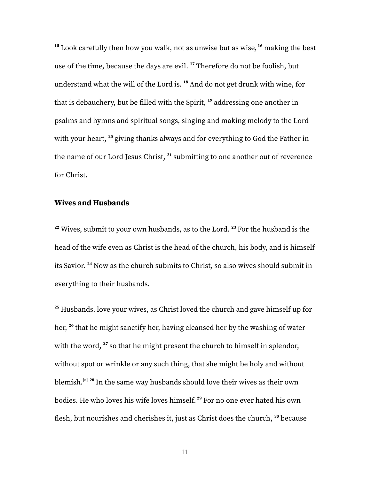**<sup>15</sup>** Look carefully then how you walk, not as unwise but as wise, **<sup>16</sup>** making the best use of the time, because the days are evil. **<sup>17</sup>** Therefore do not be foolish, but understand what the will of the Lord is. **<sup>18</sup>** And do not get drunk with wine, for that is debauchery, but be filled with the Spirit, **<sup>19</sup>** addressing one another in psalms and hymns and spiritual songs, singing and making melody to the Lord with your heart, **<sup>20</sup>** giving thanks always and for everything to God the Father in the name of our Lord Jesus Christ, **<sup>21</sup>** submitting to one another out of reverence for Christ.

#### **Wives and Husbands**

**<sup>22</sup>** Wives, submit to your own husbands, as to the Lord. **<sup>23</sup>** For the husband is the head of the wife even as Christ is the head of the church, his body, and is himself its Savior. **<sup>24</sup>** Now as the church submits to Christ, so also wives should submit in everything to their husbands.

**<sup>25</sup>** Husbands, love your wives, as Christ loved the church and gave himself up for her, **26** that he might sanctify her, having cleansed her by the washing of water with the word, **<sup>27</sup>** so that he might present the church to himself in splendor, without spot or wrinkle or any such thing, that she might be holy and without blemish.<sup>[\[a](https://www.biblegateway.com/passage/?search=Ephesians%205&version=ESV#fen-ESV-29315a)] 28</sup> In the same way husbands should love their wives as their own bodies. He who loves his wife loves himself. **<sup>29</sup>** For no one ever hated his own flesh, but nourishes and cherishes it, just as Christ does the church, **<sup>30</sup>** because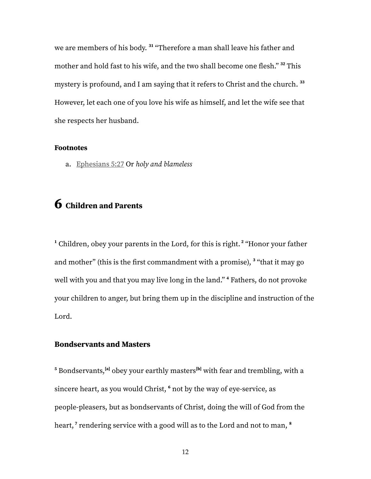we are members of his body. **<sup>31</sup>** "Therefore a man shall leave his father and mother and hold fast to his wife, and the two shall become one flesh." **<sup>32</sup>** This mystery is profound, and I am saying that it refers to Christ and the church. **33** However, let each one of you love his wife as himself, and let the wife see that she respects her husband.

#### **Footnotes**

a. [Ephesians](https://www.biblegateway.com/passage/?search=Ephesians%205&version=ESV#en-ESV-29315) 5:27 Or *holy and blameless*

## **6 Children and Parents**

**<sup>1</sup>** Children, obey your parents in the Lord, for this is right. **<sup>2</sup>** "Honor your father and mother" (this is the first commandment with a promise), **<sup>3</sup>** "that it may go well with you and that you may live long in the land." **<sup>4</sup>** Fathers, do not provoke your children to anger, but bring them up in the discipline and instruction of the Lord.

#### **Bondservants and Masters**

 $^{\mathbf{5}}$  $^{\mathbf{5}}$  $^{\mathbf{5}}$  $^{\mathbf{5}}$  $^{\mathbf{5}}$  Bondservants, $^{[\mathbf{a}]}$  obey your earthly masters $^{[\mathbf{b}]}$  with fear and trembling, with a sincere heart, as you would Christ, **<sup>6</sup>** not by the way of eye-service, as people-pleasers, but as bondservants of Christ, doing the will of God from the heart, **<sup>7</sup>** rendering service with a good will as to the Lord and not to man, **8**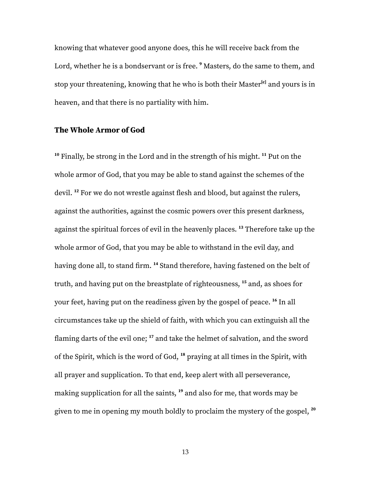knowing that whatever good anyone does, this he will receive back from the Lord, whether he is a bondservant or is free. **<sup>9</sup>** Masters, do the same to them, and stop your threatening, knowing that he who is both their Master **[[c](https://www.biblegateway.com/passage/?search=EPHESIANS+6&version=ESV#fen-ESV-29330c)]** and yours is in heaven, and that there is no partiality with him.

#### **The Whole Armor of God**

**<sup>10</sup>** Finally, be strong in the Lord and in the strength of his might. **<sup>11</sup>** Put on the whole armor of God, that you may be able to stand against the schemes of the devil. **<sup>12</sup>** For we do not wrestle against flesh and blood, but against the rulers, against the authorities, against the cosmic powers over this present darkness, against the spiritual forces of evil in the heavenly places. **<sup>13</sup>** Therefore take up the whole armor of God, that you may be able to withstand in the evil day, and having done all, to stand firm. **<sup>14</sup>** Stand therefore, having fastened on the belt of truth, and having put on the breastplate of righteousness, **<sup>15</sup>** and, as shoes for your feet, having put on the readiness given by the gospel of peace. **16** In all circumstances take up the shield of faith, with which you can extinguish all the flaming darts of the evil one; **<sup>17</sup>** and take the helmet of salvation, and the sword of the Spirit, which is the word of God, **<sup>18</sup>** praying at all times in the Spirit, with all prayer and supplication. To that end, keep alert with all perseverance, making supplication for all the saints, **<sup>19</sup>** and also for me, that words may be given to me in opening my mouth boldly to proclaim the mystery of the gospel, **20**